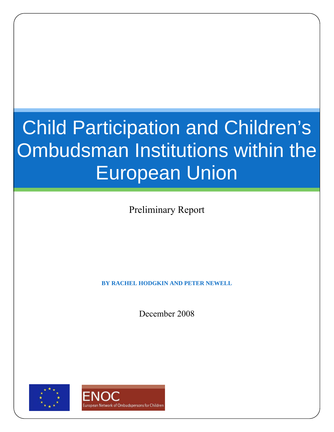# Child Participation and Children's Ombudsman Institutions within the European Union

Preliminary Report

**BY RACHEL HODGKIN AND PETER NEWELL** 

December 2008



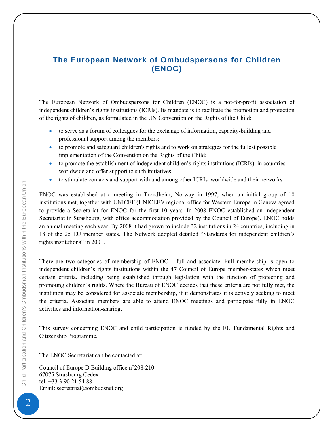## <span id="page-1-0"></span>**The European Network of Ombudspersons for Children (ENOC)**

The European Network of Ombudspersons for Children (ENOC) is a not-for-profit association of independent children's rights institutions (ICRIs). Its mandate is to facilitate the promotion and protection of the rights of children, as formulated in the UN Convention on the Rights of the Child:

- to serve as a forum of colleagues for the exchange of information, capacity-building and professional support among the members;
- to promote and safeguard children's rights and to work on strategies for the fullest possible implementation of the Convention on the Rights of the Child;
- to promote the establishment of independent children's rights institutions (ICRIs) in countries worldwide and offer support to such initiatives;
- to stimulate contacts and support with and among other ICRIs worldwide and their networks.

ENOC was established at a meeting in Trondheim, Norway in 1997, when an initial group of 10 institutions met, together with UNICEF (UNICEF's regional office for Western Europe in Geneva agreed to provide a Secretariat for ENOC for the first 10 years. In 2008 ENOC established an independent Secretariat in Strasbourg, with office accommodation provided by the Council of Europe). ENOC holds an annual meeting each year. By 2008 it had grown to include 32 institutions in 24 countries, including in 18 of the 25 EU member states. The Network adopted detailed "Standards for independent children's rights institutions" in 2001.

There are two categories of membership of ENOC – full and associate. Full membership is open to independent children's rights institutions within the 47 Council of Europe member-states which meet certain criteria, including being established through legislation with the function of protecting and promoting children's rights. Where the Bureau of ENOC decides that these criteria are not fully met, the institution may be considered for associate membership, if it demonstrates it is actively seeking to meet the criteria. Associate members are able to attend ENOC meetings and participate fully in ENOC activities and information-sharing.

This survey concerning ENOC and child participation is funded by the EU Fundamental Rights and Citizenship Programme.

The ENOC Secretariat can be contacted at:

Council of Europe D Building office n°208-210 67075 Strasbourg Cedex tel. +33 3 90 21 54 88 Email: secretariat@ombudsnet.org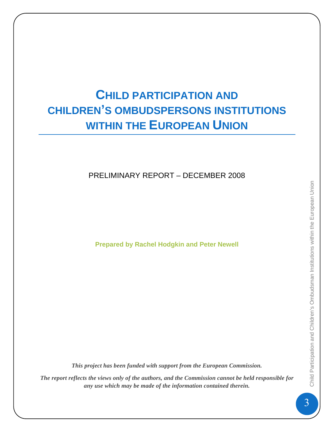# **CHILD PARTICIPATION AND CHILDREN'S OMBUDSPERSONS INSTITUTIONS WITHIN THE EUROPEAN UNION**

# PRELIMINARY REPORT – DECEMBER 2008

**Prepared by Rachel Hodgkin and Peter Newell** 

*This project has been funded with support from the European Commission.* 

*The report reflects the views only of the authors, and the Commission cannot be held responsible for any use which may be made of the information contained therein.*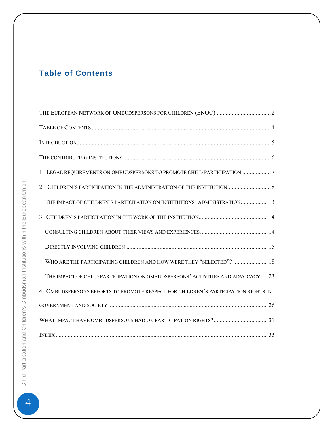# <span id="page-3-0"></span>**Table of Contents**

| 1. LEGAL REQUIREMENTS ON OMBUDSPERSONS TO PROMOTE CHILD PARTICIPATION 7            |
|------------------------------------------------------------------------------------|
|                                                                                    |
| THE IMPACT OF CHILDREN'S PARTICIPATION ON INSTITUTIONS' ADMINISTRATION 13          |
|                                                                                    |
|                                                                                    |
|                                                                                    |
| WHO ARE THE PARTICIPATING CHILDREN AND HOW WERE THEY "SELECTED"?  18               |
| THE IMPACT OF CHILD PARTICIPATION ON OMBUDSPERSONS' ACTIVITIES AND ADVOCACY23      |
| 4. OMBUDSPERSONS EFFORTS TO PROMOTE RESPECT FOR CHILDREN'S PARTICIPATION RIGHTS IN |
|                                                                                    |
|                                                                                    |
|                                                                                    |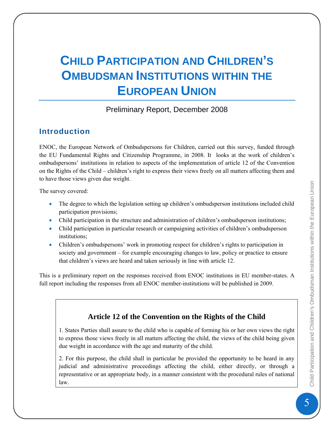# <span id="page-4-0"></span>**CHILD PARTICIPATION AND CHILDREN'S OMBUDSMAN INSTITUTIONS WITHIN THE EUROPEAN UNION**

## Preliminary Report, December 2008

# **Introduction**

ENOC, the European Network of Ombudspersons for Children, carried out this survey, funded through the EU Fundamental Rights and Citizenship Programme, in 2008. It looks at the work of children's ombudspersons' institutions in relation to aspects of the implementation of article 12 of the Convention on the Rights of the Child – children's right to express their views freely on all matters affecting them and to have those views given due weight.

The survey covered:

- The degree to which the legislation setting up children's ombudsperson institutions included child participation provisions;
- Child participation in the structure and administration of children's ombudsperson institutions;
- Child participation in particular research or campaigning activities of children's ombudsperson institutions;
- Children's ombudspersons' work in promoting respect for children's rights to participation in society and government – for example encouraging changes to law, policy or practice to ensure that children's views are heard and taken seriously in line with article 12.

This is a preliminary report on the responses received from ENOC institutions in EU member-states. A full report including the responses from all ENOC member-institutions will be published in 2009.

# **Article 12 of the Convention on the Rights of the Child**

1. States Parties shall assure to the child who is capable of forming his or her own views the right to express those views freely in all matters affecting the child, the views of the child being given due weight in accordance with the age and maturity of the child.

2. For this purpose, the child shall in particular be provided the opportunity to be heard in any judicial and administrative proceedings affecting the child, either directly, or through a representative or an appropriate body, in a manner consistent with the procedural rules of national law.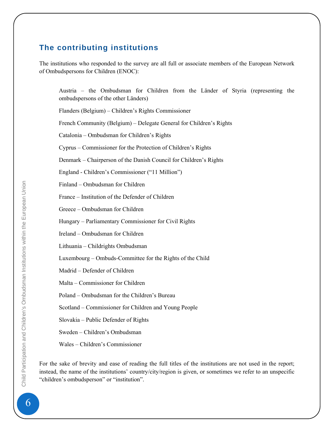# <span id="page-5-0"></span>**The contributing institutions**

The institutions who responded to the survey are all full or associate members of the European Network of Ombudspersons for Children (ENOC):

Austria – the Ombudsman for Children from the Länder of Styria (representing the ombudspersons of the other Länders)

Flanders (Belgium) – Children's Rights Commissioner

French Community (Belgium) – Delegate General for Children's Rights

Catalonia – Ombudsman for Children's Rights

Cyprus – Commissioner for the Protection of Children's Rights

Denmark – Chairperson of the Danish Council for Children's Rights

England - Children's Commissioner ("11 Million")

Finland – Ombudsman for Children

France – Institution of the Defender of Children

Greece – Ombudsman for Children

Hungary – Parliamentary Commissioner for Civil Rights

Ireland – Ombudsman for Children

Lithuania – Childrights Ombudsman

Luxembourg – Ombuds-Committee for the Rights of the Child

Madrid – Defender of Children

Malta – Commissioner for Children

Poland – Ombudsman for the Children's Bureau

Scotland – Commissioner for Children and Young People

Slovakia – Public Defender of Rights

Sweden – Children's Ombudsman

Wales – Children's Commissioner

For the sake of brevity and ease of reading the full titles of the institutions are not used in the report; instead, the name of the institutions' country/city/region is given, or sometimes we refer to an unspecific "children's ombudsperson" or "institution".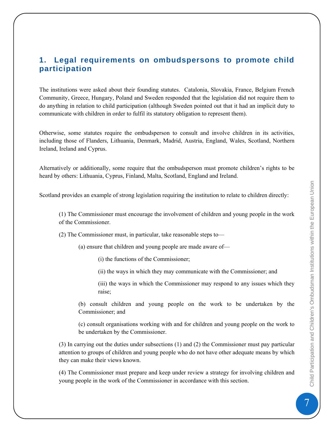# <span id="page-6-0"></span>**1. Legal requirements on ombudspersons to promote child participation**

The institutions were asked about their founding statutes. Catalonia, Slovakia, France, Belgium French Community, Greece, Hungary, Poland and Sweden responded that the legislation did not require them to do anything in relation to child participation (although Sweden pointed out that it had an implicit duty to communicate with children in order to fulfil its statutory obligation to represent them).

Otherwise, some statutes require the ombudsperson to consult and involve children in its activities, including those of Flanders, Lithuania, Denmark, Madrid, Austria, England, Wales, Scotland, Northern Ireland, Ireland and Cyprus.

Alternatively or additionally, some require that the ombudsperson must promote children's rights to be heard by others: Lithuania, Cyprus, Finland, Malta, Scotland, England and Ireland.

Scotland provides an example of strong legislation requiring the institution to relate to children directly:

(1) The Commissioner must encourage the involvement of children and young people in the work of the Commissioner.

(2) The Commissioner must, in particular, take reasonable steps to—

(a) ensure that children and young people are made aware of—

(i) the functions of the Commissioner;

(ii) the ways in which they may communicate with the Commissioner; and

(iii) the ways in which the Commissioner may respond to any issues which they raise;

(b) consult children and young people on the work to be undertaken by the Commissioner; and

(c) consult organisations working with and for children and young people on the work to be undertaken by the Commissioner.

(3) In carrying out the duties under subsections (1) and (2) the Commissioner must pay particular attention to groups of children and young people who do not have other adequate means by which they can make their views known.

(4) The Commissioner must prepare and keep under review a strategy for involving children and young people in the work of the Commissioner in accordance with this section.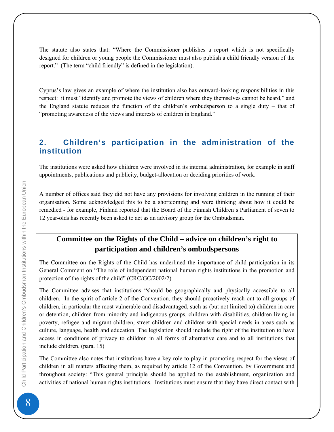<span id="page-7-0"></span>The statute also states that: "Where the Commissioner publishes a report which is not specifically designed for children or young people the Commissioner must also publish a child friendly version of the report." (The term "child friendly" is defined in the legislation).

Cyprus's law gives an example of where the institution also has outward-looking responsibilities in this respect: it must "identify and promote the views of children where they themselves cannot be heard," and the England statute reduces the function of the children's ombudsperson to a single duty – that of "promoting awareness of the views and interests of children in England."

# **2. Children's participation in the administration of the institution**

The institutions were asked how children were involved in its internal administration, for example in staff appointments, publications and publicity, budget-allocation or deciding priorities of work.

A number of offices said they did not have any provisions for involving children in the running of their organisation. Some acknowledged this to be a shortcoming and were thinking about how it could be remedied - for example, Finland reported that the Board of the Finnish Children's Parliament of seven to 12 year-olds has recently been asked to act as an advisory group for the Ombudsman.

# **Committee on the Rights of the Child – advice on children's right to participation and children's ombudspersons**

The Committee on the Rights of the Child has underlined the importance of child participation in its General Comment on "The role of independent national human rights institutions in the promotion and protection of the rights of the child" (CRC/GC/2002/2).

The Committee advises that institutions "should be geographically and physically accessible to all children. In the spirit of article 2 of the Convention, they should proactively reach out to all groups of children, in particular the most vulnerable and disadvantaged, such as (but not limited to) children in care or detention, children from minority and indigenous groups, children with disabilities, children living in poverty, refugee and migrant children, street children and children with special needs in areas such as culture, language, health and education. The legislation should include the right of the institution to have access in conditions of privacy to children in all forms of alternative care and to all institutions that include children. (para. 15)

The Committee also notes that institutions have a key role to play in promoting respect for the views of children in all matters affecting them, as required by article 12 of the Convention, by Government and throughout society: "This general principle should be applied to the establishment, organization and activities of national human rights institutions. Institutions must ensure that they have direct contact with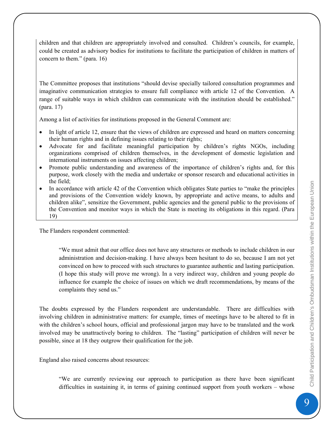children and that children are appropriately involved and consulted. Children's councils, for example, could be created as advisory bodies for institutions to facilitate the participation of children in matters of concern to them." (para. 16)

The Committee proposes that institutions "should devise specially tailored consultation programmes and imaginative communication strategies to ensure full compliance with article 12 of the Convention. A range of suitable ways in which children can communicate with the institution should be established." (para. 17)

Among a list of activities for institutions proposed in the General Comment are:

- In light of article 12, ensure that the views of children are expressed and heard on matters concerning their human rights and in defining issues relating to their rights;
- Advocate for and facilitate meaningful participation by children's rights NGOs, including organizations comprised of children themselves, in the development of domestic legislation and international instruments on issues affecting children;
- Promote public understanding and awareness of the importance of children's rights and, for this purpose, work closely with the media and undertake or sponsor research and educational activities in the field;
- In accordance with article 42 of the Convention which obligates State parties to "make the principles and provisions of the Convention widely known, by appropriate and active means, to adults and children alike", sensitize the Government, public agencies and the general public to the provisions of the Convention and monitor ways in which the State is meeting its obligations in this regard. (Para 19)

The Flanders respondent commented:

"We must admit that our office does not have any structures or methods to include children in our administration and decision-making. I have always been hesitant to do so, because I am not yet convinced on how to proceed with such structures to guarantee authentic and lasting participation. (I hope this study will prove me wrong). In a very indirect way, children and young people do influence for example the choice of issues on which we draft recommendations, by means of the complaints they send us."

The doubts expressed by the Flanders respondent are understandable. There are difficulties with involving children in administrative matters: for example, times of meetings have to be altered to fit in with the children's school hours, official and professional jargon may have to be translated and the work involved may be unattractively boring to children. The "lasting" participation of children will never be possible, since at 18 they outgrow their qualification for the job.

England also raised concerns about resources:

"We are currently reviewing our approach to participation as there have been significant difficulties in sustaining it, in terms of gaining continued support from youth workers – whose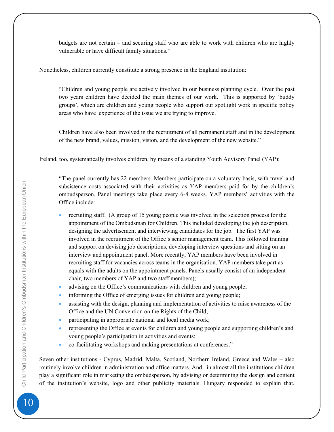budgets are not certain – and securing staff who are able to work with children who are highly vulnerable or have difficult family situations."

Nonetheless, children currently constitute a strong presence in the England institution:

"Children and young people are actively involved in our business planning cycle. Over the past two years children have decided the main themes of our work. This is supported by 'buddy groups', which are children and young people who support our spotlight work in specific policy areas who have experience of the issue we are trying to improve.

Children have also been involved in the recruitment of all permanent staff and in the development of the new brand, values, mission, vision, and the development of the new website."

Ireland, too, systematically involves children, by means of a standing Youth Advisory Panel (YAP):

"The panel currently has 22 members. Members participate on a voluntary basis, with travel and subsistence costs associated with their activities as YAP members paid for by the children's ombudsperson. Panel meetings take place every 6-8 weeks. YAP members' activities with the Office include:

- recruiting staff. (A group of 15 young people was involved in the selection process for the appointment of the Ombudsman for Children. This included developing the job description, designing the advertisement and interviewing candidates for the job. The first YAP was involved in the recruitment of the Office's senior management team. This followed training and support on devising job descriptions, developing interview questions and sitting on an interview and appointment panel. More recently, YAP members have been involved in recruiting staff for vacancies across teams in the organisation. YAP members take part as equals with the adults on the appointment panels. Panels usually consist of an independent chair, two members of YAP and two staff members);
- advising on the Office's communications with children and young people;
- informing the Office of emerging issues for children and young people;
- assisting with the design, planning and implementation of activities to raise awareness of the Office and the UN Convention on the Rights of the Child;
- participating in appropriate national and local media work;
- representing the Office at events for children and young people and supporting children's and young people's participation in activities and events;
- co-facilitating workshops and making presentations at conferences."

Seven other institutions - Cyprus, Madrid, Malta, Scotland, Northern Ireland, Greece and Wales – also routinely involve children in administration and office matters. And in almost all the institutions children play a significant role in marketing the ombudsperson, by advising or determining the design and content of the institution's website, logo and other publicity materials. Hungary responded to explain that,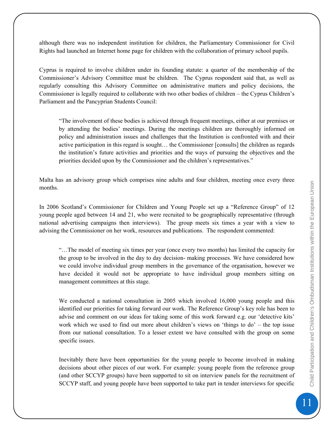although there was no independent institution for children, the Parliamentary Commissioner for Civil Rights had launched an Internet home page for children with the collaboration of primary school pupils.

Cyprus is required to involve children under its founding statute: a quarter of the membership of the Commissioner's Advisory Committee must be children. The Cyprus respondent said that, as well as regularly consulting this Advisory Committee on administrative matters and policy decisions, the Commissioner is legally required to collaborate with two other bodies of children – the Cyprus Children's Parliament and the Pancyprian Students Council:

"The involvement of these bodies is achieved through frequent meetings, either at our premises or by attending the bodies' meetings. During the meetings children are thoroughly informed on policy and administration issues and challenges that the Institution is confronted with and their active participation in this regard is sought… the Commissioner [consults] the children as regards the institution's future activities and priorities and the ways of pursuing the objectives and the priorities decided upon by the Commissioner and the children's representatives."

Malta has an advisory group which comprises nine adults and four children, meeting once every three months.

In 2006 Scotland's Commissioner for Children and Young People set up a "Reference Group" of 12 young people aged between 14 and 21, who were recruited to be geographically representative (through national advertising campaigns then interviews). The group meets six times a year with a view to advising the Commissioner on her work, resources and publications. The respondent commented:

"…The model of meeting six times per year (once every two months) has limited the capacity for the group to be involved in the day to day decision- making processes. We have considered how we could involve individual group members in the governance of the organisation, however we have decided it would not be appropriate to have individual group members sitting on management committees at this stage.

We conducted a national consultation in 2005 which involved 16,000 young people and this identified our priorities for taking forward our work. The Reference Group's key role has been to advise and comment on our ideas for taking some of this work forward e.g. our 'detective kits' work which we used to find out more about children's views on 'things to do' – the top issue from our national consultation. To a lesser extent we have consulted with the group on some specific issues.

Inevitably there have been opportunities for the young people to become involved in making decisions about other pieces of our work. For example: young people from the reference group (and other SCCYP groups) have been supported to sit on interview panels for the recruitment of SCCYP staff, and young people have been supported to take part in tender interviews for specific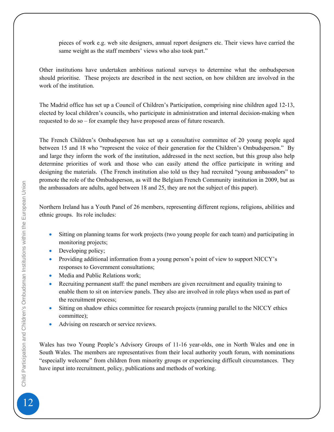pieces of work e.g. web site designers, annual report designers etc. Their views have carried the same weight as the staff members' views who also took part."

Other institutions have undertaken ambitious national surveys to determine what the ombudsperson should prioritise. These projects are described in the next section, on how children are involved in the work of the institution.

The Madrid office has set up a Council of Children's Participation, comprising nine children aged 12-13, elected by local children's councils, who participate in administration and internal decision-making when requested to do so – for example they have proposed areas of future research.

The French Children's Ombudsperson has set up a consultative committee of 20 young people aged between 15 and 18 who "represent the voice of their generation for the Children's Ombudsperson." By and large they inform the work of the institution, addressed in the next section, but this group also help determine priorities of work and those who can easily attend the office participate in writing and designing the materials. (The French institution also told us they had recruited "young ambassadors" to promote the role of the Ombudsperson, as will the Belgium French Community institution in 2009, but as the ambassadors are adults, aged between 18 and 25, they are not the subject of this paper).

Northern Ireland has a Youth Panel of 26 members, representing different regions, religions, abilities and ethnic groups. Its role includes:

- Sitting on planning teams for work projects (two young people for each team) and participating in monitoring projects;
- Developing policy;
- Providing additional information from a young person's point of view to support NICCY's responses to Government consultations;
- Media and Public Relations work:
- Recruiting permanent staff: the panel members are given recruitment and equality training to enable them to sit on interview panels. They also are involved in role plays when used as part of the recruitment process;
- Sitting on shadow ethics committee for research projects (running parallel to the NICCY ethics committee);
- Advising on research or service reviews.

Wales has two Young People's Advisory Groups of 11-16 year-olds, one in North Wales and one in South Wales. The members are representatives from their local authority youth forum, with nominations "especially welcome" from children from minority groups or experiencing difficult circumstances. They have input into recruitment, policy, publications and methods of working.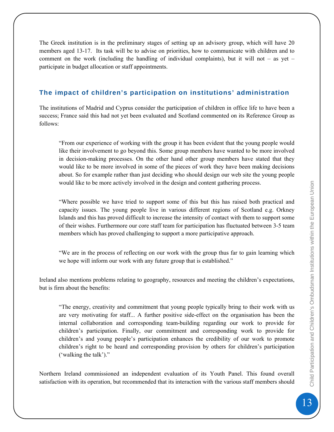<span id="page-12-0"></span>The Greek institution is in the preliminary stages of setting up an advisory group, which will have 20 members aged 13-17. Its task will be to advise on priorities, how to communicate with children and to comment on the work (including the handling of individual complaints), but it will not – as yet – participate in budget allocation or staff appointments.

#### **The impact of children's participation on institutions' administration**

The institutions of Madrid and Cyprus consider the participation of children in office life to have been a success; France said this had not yet been evaluated and Scotland commented on its Reference Group as follows:

"From our experience of working with the group it has been evident that the young people would like their involvement to go beyond this. Some group members have wanted to be more involved in decision-making processes. On the other hand other group members have stated that they would like to be more involved in some of the pieces of work they have been making decisions about. So for example rather than just deciding who should design our web site the young people would like to be more actively involved in the design and content gathering process.

"Where possible we have tried to support some of this but this has raised both practical and capacity issues. The young people live in various different regions of Scotland e.g. Orkney Islands and this has proved difficult to increase the intensity of contact with them to support some of their wishes. Furthermore our core staff team for participation has fluctuated between 3-5 team members which has proved challenging to support a more participative approach.

"We are in the process of reflecting on our work with the group thus far to gain learning which we hope will inform our work with any future group that is established."

Ireland also mentions problems relating to geography, resources and meeting the children's expectations, but is firm about the benefits:

"The energy, creativity and commitment that young people typically bring to their work with us are very motivating for staff... A further positive side-effect on the organisation has been the internal collaboration and corresponding team-building regarding our work to provide for children's participation. Finally, our commitment and corresponding work to provide for children's and young people's participation enhances the credibility of our work to promote children's right to be heard and corresponding provision by others for children's participation ('walking the talk')."

Northern Ireland commissioned an independent evaluation of its Youth Panel. This found overall satisfaction with its operation, but recommended that its interaction with the various staff members should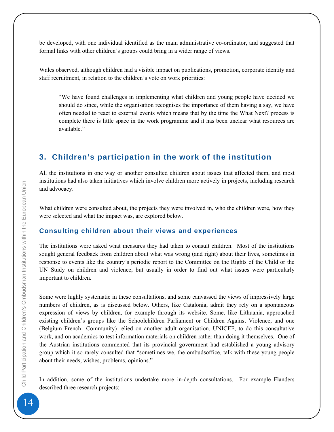<span id="page-13-0"></span>be developed, with one individual identified as the main administrative co-ordinator, and suggested that formal links with other children's groups could bring in a wider range of views.

Wales observed, although children had a visible impact on publications, promotion, corporate identity and staff recruitment, in relation to the children's vote on work priorities:

"We have found challenges in implementing what children and young people have decided we should do since, while the organisation recognises the importance of them having a say, we have often needed to react to external events which means that by the time the What Next? process is complete there is little space in the work programme and it has been unclear what resources are available"

# **3. Children's participation in the work of the institution**

All the institutions in one way or another consulted children about issues that affected them, and most institutions had also taken initiatives which involve children more actively in projects, including research and advocacy.

What children were consulted about, the projects they were involved in, who the children were, how they were selected and what the impact was, are explored below.

#### **Consulting children about their views and experiences**

The institutions were asked what measures they had taken to consult children. Most of the institutions sought general feedback from children about what was wrong (and right) about their lives, sometimes in response to events like the country's periodic report to the Committee on the Rights of the Child or the UN Study on children and violence, but usually in order to find out what issues were particularly important to children.

Some were highly systematic in these consultations, and some canvassed the views of impressively large numbers of children, as is discussed below. Others, like Catalonia, admit they rely on a spontaneous expression of views by children, for example through its website. Some, like Lithuania, approached existing children's groups like the Schoolchildren Parliament or Children Against Violence, and one (Belgium French Community) relied on another adult organisation, UNICEF, to do this consultative work, and on academics to test information materials on children rather than doing it themselves. One of the Austrian institutions commented that its provincial government had established a young advisory group which it so rarely consulted that "sometimes we, the ombudsoffice, talk with these young people about their needs, wishes, problems, opinions."

In addition, some of the institutions undertake more in-depth consultations. For example Flanders described three research projects: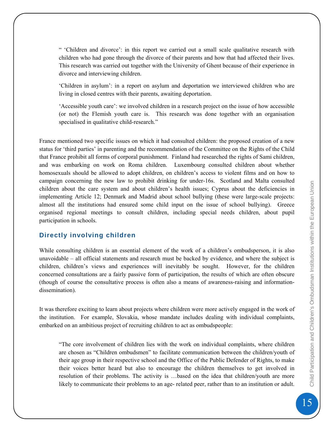<span id="page-14-0"></span>" 'Children and divorce': in this report we carried out a small scale qualitative research with children who had gone through the divorce of their parents and how that had affected their lives. This research was carried out together with the University of Ghent because of their experience in divorce and interviewing children.

'Children in asylum': in a report on asylum and deportation we interviewed children who are living in closed centres with their parents, awaiting deportation.

'Accessible youth care': we involved children in a research project on the issue of how accessible (or not) the Flemish youth care is. This research was done together with an organisation specialised in qualitative child-research."

France mentioned two specific issues on which it had consulted children: the proposed creation of a new status for 'third parties' in parenting and the recommendation of the Committee on the Rights of the Child that France prohibit all forms of corporal punishment. Finland had researched the rights of Sami children, and was embarking on work on Roma children. Luxembourg consulted children about whether homosexuals should be allowed to adopt children, on children's access to violent films and on how to campaign concerning the new law to prohibit drinking for under-16s. Scotland and Malta consulted children about the care system and about children's health issues; Cyprus about the deficiencies in implementing Article 12; Denmark and Madrid about school bullying (these were large-scale projects: almost all the institutions had ensured some child input on the issue of school bullying). Greece organised regional meetings to consult children, including special needs children, about pupil participation in schools.

#### **Directly involving children**

While consulting children is an essential element of the work of a children's ombudsperson, it is also unavoidable – all official statements and research must be backed by evidence, and where the subject is children, children's views and experiences will inevitably be sought. However, for the children concerned consultations are a fairly passive form of participation, the results of which are often obscure (though of course the consultative process is often also a means of awareness-raising and informationdissemination).

It was therefore exciting to learn about projects where children were more actively engaged in the work of the institution. For example, Slovakia, whose mandate includes dealing with individual complaints, embarked on an ambitious project of recruiting children to act as ombudspeople:

"The core involvement of children lies with the work on individual complaints, where children are chosen as "Children ombudsmen" to facilitate communication between the children/youth of their age group in their respective school and the Office of the Public Defender of Rights, to make their voices better heard but also to encourage the children themselves to get involved in resolution of their problems. The activity is …based on the idea that children/youth are more likely to communicate their problems to an age- related peer, rather than to an institution or adult.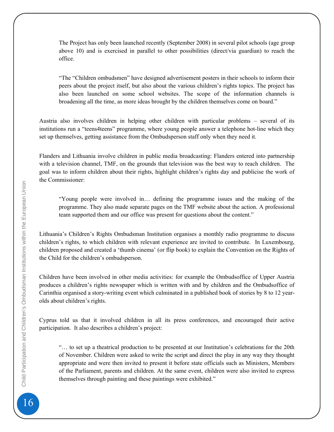The Project has only been launched recently (September 2008) in several pilot schools (age group above 10) and is exercised in parallel to other possibilities (direct/via guardian) to reach the office.

"The "Children ombudsmen" have designed advertisement posters in their schools to inform their peers about the project itself, but also about the various children's rights topics. The project has also been launched on some school websites. The scope of the information channels is broadening all the time, as more ideas brought by the children themselves come on board."

Austria also involves children in helping other children with particular problems – several of its institutions run a "teens4teens" programme, where young people answer a telephone hot-line which they set up themselves, getting assistance from the Ombudsperson staff only when they need it.

Flanders and Lithuania involve children in public media broadcasting: Flanders entered into partnership with a television channel, TMF, on the grounds that television was the best way to reach children. The goal was to inform children about their rights, highlight children's rights day and publicise the work of the Commissioner:

"Young people were involved in… defining the programme issues and the making of the programme. They also made separate pages on the TMF website about the action. A professional team supported them and our office was present for questions about the content."

Lithuania's Children's Rights Ombudsman Institution organises a monthly radio programme to discuss children's rights, to which children with relevant experience are invited to contribute. In Luxembourg, children proposed and created a 'thumb cinema' (or flip book) to explain the Convention on the Rights of the Child for the children's ombudsperson.

Children have been involved in other media activities: for example the Ombudsoffice of Upper Austria produces a children's rights newspaper which is written with and by children and the Ombudsoffice of Carinthia organised a story-writing event which culminated in a published book of stories by 8 to 12 yearolds about children's rights.

Cyprus told us that it involved children in all its press conferences, and encouraged their active participation. It also describes a children's project:

"… to set up a theatrical production to be presented at our Institution's celebrations for the 20th of November. Children were asked to write the script and direct the play in any way they thought appropriate and were then invited to present it before state officials such as Ministers, Members of the Parliament, parents and children. At the same event, children were also invited to express themselves through painting and these paintings were exhibited."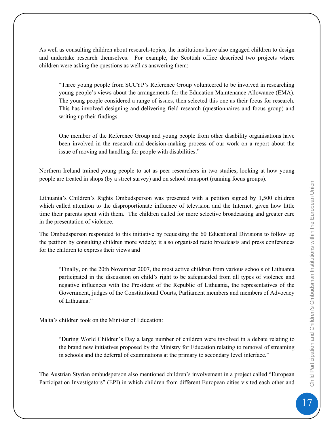As well as consulting children about research-topics, the institutions have also engaged children to design and undertake research themselves. For example, the Scottish office described two projects where children were asking the questions as well as answering them:

"Three young people from SCCYP's Reference Group volunteered to be involved in researching young people's views about the arrangements for the Education Maintenance Allowance (EMA). The young people considered a range of issues, then selected this one as their focus for research. This has involved designing and delivering field research (questionnaires and focus group) and writing up their findings.

One member of the Reference Group and young people from other disability organisations have been involved in the research and decision-making process of our work on a report about the issue of moving and handling for people with disabilities."

Northern Ireland trained young people to act as peer researchers in two studies, looking at how young people are treated in shops (by a street survey) and on school transport (running focus groups).

Lithuania's Children's Rights Ombudsperson was presented with a petition signed by 1,500 children which called attention to the disproportionate influence of television and the Internet, given how little time their parents spent with them. The children called for more selective broadcasting and greater care in the presentation of violence.

The Ombudsperson responded to this initiative by requesting the 60 Educational Divisions to follow up the petition by consulting children more widely; it also organised radio broadcasts and press conferences for the children to express their views and

"Finally, on the 20th November 2007, the most active children from various schools of Lithuania participated in the discussion on child's right to be safeguarded from all types of violence and negative influences with the President of the Republic of Lithuania, the representatives of the Government, judges of the Constitutional Courts, Parliament members and members of Advocacy of Lithuania."

Malta's children took on the Minister of Education:

"During World Children's Day a large number of children were involved in a debate relating to the brand new initiatives proposed by the Ministry for Education relating to removal of streaming in schools and the deferral of examinations at the primary to secondary level interface."

The Austrian Styrian ombudsperson also mentioned children's involvement in a project called "European Participation Investigators" (EPI) in which children from different European cities visited each other and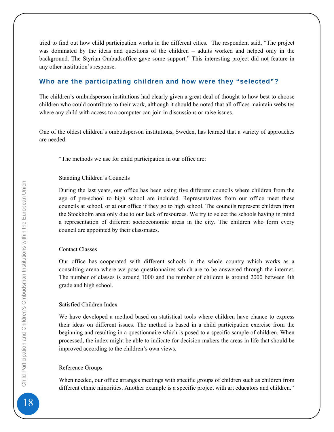<span id="page-17-0"></span>tried to find out how child participation works in the different cities. The respondent said, "The project was dominated by the ideas and questions of the children – adults worked and helped only in the background. The Styrian Ombudsoffice gave some support." This interesting project did not feature in any other institution's response.

#### **Who are the participating children and how were they "selected"?**

The children's ombudsperson institutions had clearly given a great deal of thought to how best to choose children who could contribute to their work, although it should be noted that all offices maintain websites where any child with access to a computer can join in discussions or raise issues.

One of the oldest children's ombudsperson institutions, Sweden, has learned that a variety of approaches are needed:

"The methods we use for child participation in our office are:

#### Standing Children's Councils

During the last years, our office has been using five different councils where children from the age of pre-school to high school are included. Representatives from our office meet these councils at school, or at our office if they go to high school. The councils represent children from the Stockholm area only due to our lack of resources. We try to select the schools having in mind a representation of different socioeconomic areas in the city. The children who form every council are appointed by their classmates.

#### Contact Classes

Our office has cooperated with different schools in the whole country which works as a consulting arena where we pose questionnaires which are to be answered through the internet. The number of classes is around 1000 and the number of children is around 2000 between 4th grade and high school.

#### Satisfied Children Index

We have developed a method based on statistical tools where children have chance to express their ideas on different issues. The method is based in a child participation exercise from the beginning and resulting in a questionnaire which is posed to a specific sample of children. When processed, the index might be able to indicate for decision makers the areas in life that should be improved according to the children's own views.

#### Reference Groups

When needed, our office arranges meetings with specific groups of children such as children from different ethnic minorities. Another example is a specific project with art educators and children."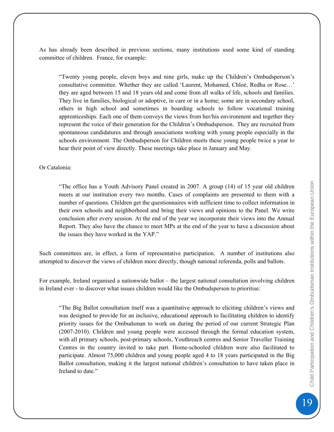As has already been described in previous sections, many institutions used some kind of standing committee of children. France, for example:

"Twenty young people, eleven boys and nine girls, make up the Children's Ombudsperson's consultative committee. Whether they are called 'Laurent, Mohamed, Chloé, Redha or Rose…' they are aged between 15 and 18 years old and come from all walks of life, schools and families. They live in families, biological or adoptive, in care or in a home; some are in secondary school, others in high school and sometimes in boarding schools to follow vocational training apprenticeships. Each one of them conveys the views from her/his environment and together they represent the voice of their generation for the Children's Ombudsperson. They are recruited from spontaneous candidatures and through associations working with young people especially in the schools environment. The Ombudsperson for Children meets these young people twice a year to hear their point of view directly. These meetings take place in January and May.

#### Or Catalonia:

"The office has a Youth Advisory Panel created in 2007. A group (14) of 15 year old children meets at our institution every two months. Cases of complaints are presented to them with a number of questions. Children get the questionnaires with sufficient time to collect information in their own schools and neighborhood and bring their views and opinions to the Panel. We write conclusion after every session. At the end of the year we incorporate their views into the Annual Report. They also have the chance to meet MPs at the end of the year to have a discussion about the issues they have worked in the YAP."

Such committees are, in effect, a form of representative participation. A number of institutions also attempted to discover the views of children more directly, though national referenda, polls and ballots.

For example, Ireland organised a nationwide ballot – the largest national consultation involving children in Ireland ever - to discover what issues children would like the Ombudsperson to prioritise:

"The Big Ballot consultation itself was a quantitative approach to eliciting children's views and was designed to provide for an inclusive, educational approach to facilitating children to identify priority issues for the Ombudsman to work on during the period of our current Strategic Plan (2007-2010). Children and young people were accessed through the formal education system, with all primary schools, post-primary schools, Youthreach centres and Senior Traveller Training Centres in the country invited to take part. Home-schooled children were also facilitated to participate. Almost 75,000 children and young people aged 4 to 18 years participated in the Big Ballot consultation, making it the largest national children's consultation to have taken place in Ireland to date."

19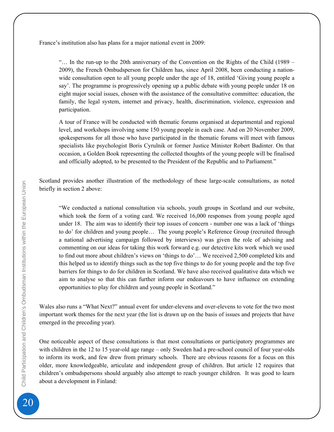France's institution also has plans for a major national event in 2009:

"… In the run-up to the 20th anniversary of the Convention on the Rights of the Child (1989 – 2009), the French Ombudsperson for Children has, since April 2008, been conducting a nationwide consultation open to all young people under the age of 18, entitled 'Giving young people a say'. The programme is progressively opening up a public debate with young people under 18 on eight major social issues, chosen with the assistance of the consultative committee: education, the family, the legal system, internet and privacy, health, discrimination, violence, expression and participation.

A tour of France will be conducted with thematic forums organised at departmental and regional level, and workshops involving some 150 young people in each case. And on 20 November 2009, spokespersons for all those who have participated in the thematic forums will meet with famous specialists like psychologist Boris Cyrulnik or former Justice Minister Robert Badinter. On that occasion, a Golden Book representing the collected thoughts of the young people will be finalised and officially adopted, to be presented to the President of the Republic and to Parliament."

Scotland provides another illustration of the methodology of these large-scale consultations, as noted briefly in section 2 above:

"We conducted a national consultation via schools, youth groups in Scotland and our website, which took the form of a voting card. We received 16,000 responses from young people aged under 18. The aim was to identify their top issues of concern - number one was a lack of 'things to do' for children and young people… The young people's Reference Group (recruited through a national advertising campaign followed by interviews) was given the role of advising and commenting on our ideas for taking this work forward e.g. our detective kits work which we used to find out more about children's views on 'things to do'… We received 2,500 completed kits and this helped us to identify things such as the top five things to do for young people and the top five barriers for things to do for children in Scotland. We have also received qualitative data which we aim to analyse so that this can further inform our endeavours to have influence on extending opportunities to play for children and young people in Scotland."

Wales also runs a "What Next?" annual event for under-elevens and over-elevens to vote for the two most important work themes for the next year (the list is drawn up on the basis of issues and projects that have emerged in the preceding year).

One noticeable aspect of these consultations is that most consultations or participatory programmes are with children in the 12 to 15 year-old age range – only Sweden had a pre-school council of four year-olds to inform its work, and few drew from primary schools. There are obvious reasons for a focus on this older, more knowledgeable, articulate and independent group of children. But article 12 requires that children's ombudspersons should arguably also attempt to reach younger children. It was good to learn about a development in Finland: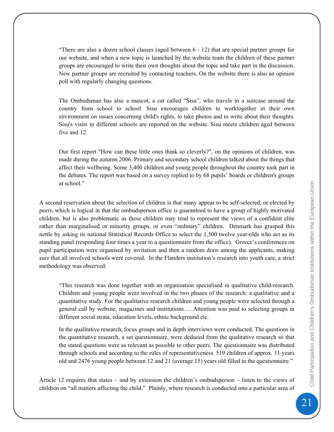"There are also a dozen school classes (aged between 6 - 12) that are special partner groups for our website, and when a new topic is launched by the website team the children of these partner groups are encouraged to write their own thoughts about the topic and take part in the discussion. New partner groups are recruited by contacting teachers. On the website there is also an opinion poll with regularly changing questions.

The Ombudsman has also a mascot, a cat called "Sisu", who travels in a suitcase around the country from school to school. Sisu encourages children to worktogether in their own environment on issues concerning child's rights, to take photos and to write about their thoughts. Sisu's visits in different schools are reported on the website. Sisu meets children aged between five and 12.

Our first report "How can these little ones think so cleverly?", on the opinions of children, was made during the autumn 2006. Primary and secondary school children talked about the things that affect their wellbeing. Some 3,400 children and young people throughout the country took part in the debates. The report was based on a survey replied to by 68 pupils' boards or children's groups at school."

A second reservation about the selection of children is that many appear to be self-selected, or elected by peers, which is logical in that the ombudsperson office is guaranteed to have a group of highly motivated children, but is also problematic as these children may tend to represent the views of a confident elite rather than marginalised or minority groups, or even "ordinary" children. Denmark has grasped this nettle by asking its national Statistical Records Office to select the 1,500 twelve year-olds who act as its standing panel (responding four times a year to a questionnaire from the office). Greece's conferences on pupil participation were organised by invitation and then a random draw among the applicants, making sure that all involved schools were covered. In the Flanders institution's research into youth care, a strict methodology was observed:

"This research was done together with an organisation specialised in qualitative child-research. Children and young people were involved in the two phases of the research: a qualitative and a quantitative study. For the qualitative research children and young people were selected through a general call by website, magazines and institutions…. Attention was paid to selecting groups in different social strata, education levels, ethnic background etc.

In the qualitative research, focus groups and in depth interviews were conducted. The questions in the quantitative research, a set questionnaire, were deduced from the qualitative research so that the stated questions were as relevant as possible to other peers. The questionnaire was distributed through schools and according to the rules of representativeness. 519 children of approx. 11 years old and 2476 young people between 12 and 21 (average 15) years old filled in the questionnaire."

Article 12 requires that states – and by extension the children's ombudsperson – listen to the views of children on "all matters affecting the child." Plainly, where research is conducted into a particular area of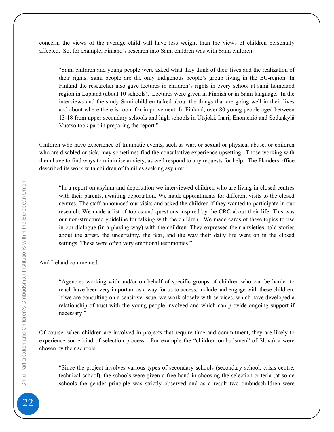concern, the views of the average child will have less weight than the views of children personally affected. So, for example, Finland's research into Sami children was with Sami children:

"Sami children and young people were asked what they think of their lives and the realization of their rights. Sami people are the only indigenous people's group living in the EU-region. In Finland the researcher also gave lectures in children's rights in every school at sami homeland region in Lapland (about 10 schools). Lectures were given in Finnish or in Sami language. In the interviews and the study Sami children talked about the things that are going well in their lives and about where there is room for improvement. In Finland, over 80 young people aged between 13-18 from upper secondary schools and high schools in Utsjoki, Inari, Enontekiö and Sodankylä Vuotso took part in preparing the report."

Children who have experience of traumatic events, such as war, or sexual or physical abuse, or children who are disabled or sick, may sometimes find the consultative experience upsetting. Those working with them have to find ways to minimise anxiety, as well respond to any requests for help. The Flanders office described its work with children of families seeking asylum:

"In a report on asylum and deportation we interviewed children who are living in closed centres with their parents, awaiting deportation. We made appointments for different visits to the closed centres. The staff announced our visits and asked the children if they wanted to participate in our research. We made a list of topics and questions inspired by the CRC about their life. This was our non-structured guideline for talking with the children. We made cards of these topics to use in our dialogue (in a playing way) with the children. They expressed their anxieties, told stories about the arrest, the uncertainty, the fear, and the way their daily life went on in the closed settings. These were often very emotional testimonies."

And Ireland commented:

"Agencies working with and/or on behalf of specific groups of children who can be harder to reach have been very important as a way for us to access, include and engage with these children. If we are consulting on a sensitive issue, we work closely with services, which have developed a relationship of trust with the young people involved and which can provide ongoing support if necessary."

Of course, when children are involved in projects that require time and commitment, they are likely to experience some kind of selection process. For example the "children ombudsmen" of Slovakia were chosen by their schools:

"Since the project involves various types of secondary schools (secondary school, crisis centre, technical school), the schools were given a free hand in choosing the selection criteria (at some schools the gender principle was strictly observed and as a result two ombudschildren were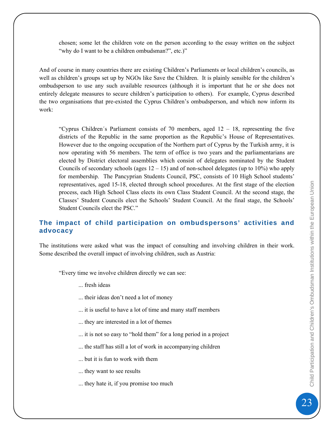<span id="page-22-0"></span>chosen; some let the children vote on the person according to the essay written on the subject "why do I want to be a children ombudsman?", etc.)"

And of course in many countries there are existing Children's Parliaments or local children's councils, as well as children's groups set up by NGOs like Save the Children. It is plainly sensible for the children's ombudsperson to use any such available resources (although it is important that he or she does not entirely delegate measures to secure children's participation to others). For example, Cyprus described the two organisations that pre-existed the Cyprus Children's ombudsperson, and which now inform its work:

"Cyprus Children's Parliament consists of 70 members, aged  $12 - 18$ , representing the five districts of the Republic in the same proportion as the Republic's House of Representatives. However due to the ongoing occupation of the Northern part of Cyprus by the Turkish army, it is now operating with 56 members. The term of office is two years and the parliamentarians are elected by District electoral assemblies which consist of delegates nominated by the Student Councils of secondary schools (ages  $12 - 15$ ) and of non-school delegates (up to  $10\%$ ) who apply for membership. The Pancyprian Students Council, PSC, consists of 10 High School students' representatives, aged 15-18, elected through school procedures. At the first stage of the election process, each High School Class elects its own Class Student Council. At the second stage, the Classes' Student Councils elect the Schools' Student Council. At the final stage, the Schools' Student Councils elect the PSC."

#### **The impact of child participation on ombudspersons' activities and advocacy**

The institutions were asked what was the impact of consulting and involving children in their work. Some described the overall impact of involving children, such as Austria:

"Every time we involve children directly we can see:

... fresh ideas

- ... their ideas don't need a lot of money
- ... it is useful to have a lot of time and many staff members
- ... they are interested in a lot of themes
- ... it is not so easy to "hold them" for a long period in a project
- ... the staff has still a lot of work in accompanying children
- ... but it is fun to work with them
- ... they want to see results
- ... they hate it, if you promise too much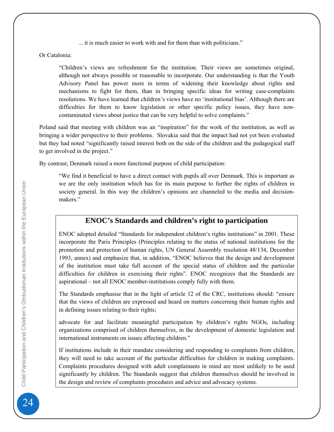... it is much easier to work with and for them than with politicians."

Or Catalonia:

"Children's views are refreshment for the institution. Their views are sometimes original, although not always possible or reasonable to incorporate. Our understanding is that the Youth Advisory Panel has power more in terms of widening their knowledge about rights and mechanisms to fight for them, than in bringing specific ideas for writing case-complaints resolutions. We have learned that children's views have no 'institutional bias'. Although there are difficulties for them to know legislation or other specific policy issues, they have noncontaminated views about justice that can be very helpful to solve complaints."

Poland said that meeting with children was an "inspiration" for the work of the institution, as well as bringing a wider perspective to their problems. Slovakia said that the impact had not yet been evaluated but they had noted "significantly raised interest both on the side of the children and the pedagogical staff to get involved in the project."

By contrast, Denmark raised a more functional purpose of child participation:

"We find it beneficial to have a direct contact with pupils all over Denmark. This is important as we are the only institution which has for its main purpose to further the rights of children in society general. In this way the children's opinions are channeled to the media and decisionmakers."

# **ENOC's Standards and children's right to participation**

ENOC adopted detailed "Standards for independent children's rights institutions" in 2001. These incorporate the Paris Principles (Principles relating to the status of national institutions for the promotion and protection of human rights, UN General Assembly resolution 48/134, December 1993, annex) and emphasize that, in addition, "ENOC believes that the design and development of the institution must take full account of the special status of children and the particular difficulties for children in exercising their rights". ENOC recognizes that the Standards are aspirational – not all ENOC member-institutions comply fully with them.

The Standards emphasise that in the light of article 12 of the CRC, institutions should: "ensure that the views of children are expressed and heard on matters concerning their human rights and in defining issues relating to their rights;

advocate for and facilitate meaningful participation by children's rights NGOs, including organizations comprised of children themselves, in the development of domestic legislation and international instruments on issues affecting children."

If institutions include in their mandate considering and responding to complaints from children, they will need to take account of the particular difficulties for children in making complaints. Complaints procedures designed with adult complainants in mind are most unlikely to be used significantly by children. The Standards suggest that children themselves should be involved in the design and review of complaints procedures and advice and advocacy systems.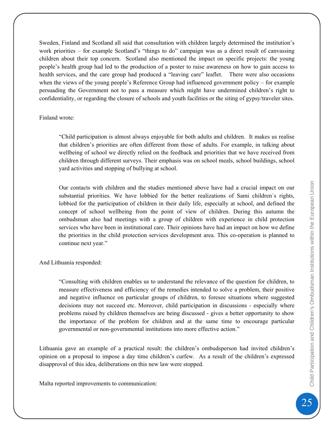Sweden, Finland and Scotland all said that consultation with children largely determined the institution's work priorities – for example Scotland's "things to do" campaign was as a direct result of canvassing children about their top concern. Scotland also mentioned the impact on specific projects: the young people's health group had led to the production of a poster to raise awareness on how to gain access to health services, and the care group had produced a "leaving care" leaflet. There were also occasions when the views of the young people's Reference Group had influenced government policy – for example persuading the Government not to pass a measure which might have undermined children's right to confidentiality, or regarding the closure of schools and youth facilities or the siting of gypsy/traveler sites.

#### Finland wrote:

"Child participation is almost always enjoyable for both adults and children. It makes us realise that children's priorities are often different from those of adults. For example, in talking about wellbeing of school we directly relied on the feedback and priorities that we have received from children through different surveys. Their emphasis was on school meals, school buildings, school yard activities and stopping of bullying at school.

Our contacts with children and the studies mentioned above have had a crucial impact on our substantial priorities. We have lobbied for the better realizations of Sami children´s rights, lobbied for the participation of children in their daily life, especially at school, and defined the concept of school wellbeing from the point of view of children. During this autumn the ombudsman also had meetings with a group of children with experience in child protection services who have been in institutional care. Their opinions have had an impact on how we define the priorities in the child protection services development area. This co-operation is planned to continue next year."

#### And Lithuania responded:

"Consulting with children enables us to understand the relevance of the question for children, to measure effectiveness and efficiency of the remedies intended to solve a problem, their positive and negative influence on particular groups of children, to foresee situations where suggested decisions may not succeed etc. Moreover, child participation in discussions - especially where problems raised by children themselves are being discussed - gives a better opportunity to show the importance of the problem for children and at the same time to encourage particular governmental or non-governmental institutions into more effective action."

Lithuania gave an example of a practical result: the children's ombudsperson had invited children's opinion on a proposal to impose a day time children's curfew. As a result of the children's expressed disapproval of this idea, deliberations on this new law were stopped.

Malta reported improvements to communication: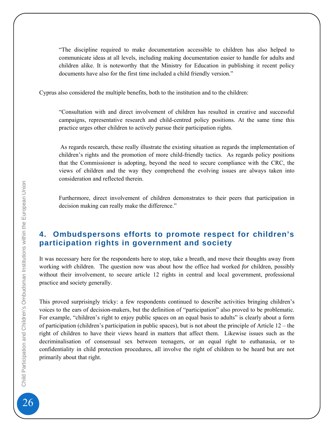<span id="page-25-0"></span>"The discipline required to make documentation accessible to children has also helped to communicate ideas at all levels, including making documentation easier to handle for adults and children alike. It is noteworthy that the Ministry for Education in publishing it recent policy documents have also for the first time included a child friendly version."

Cyprus also considered the multiple benefits, both to the institution and to the children:

"Consultation with and direct involvement of children has resulted in creative and successful campaigns, representative research and child-centred policy positions. At the same time this practice urges other children to actively pursue their participation rights.

 As regards research, these really illustrate the existing situation as regards the implementation of children's rights and the promotion of more child-friendly tactics. As regards policy positions that the Commissioner is adopting, beyond the need to secure compliance with the CRC, the views of children and the way they comprehend the evolving issues are always taken into consideration and reflected therein.

Furthermore, direct involvement of children demonstrates to their peers that participation in decision making can really make the difference."

# **4. Ombudspersons efforts to promote respect for children's participation rights in government and society**

It was necessary here for the respondents here to stop, take a breath, and move their thoughts away from working *with* children. The question now was about how the office had worked *for* children, possibly without their involvement, to secure article 12 rights in central and local government, professional practice and society generally.

This proved surprisingly tricky: a few respondents continued to describe activities bringing children's voices to the ears of decision-makers, but the definition of "participation" also proved to be problematic. For example, "children's right to enjoy public spaces on an equal basis to adults" is clearly about a form of participation (children's participation in public spaces), but is not about the principle of Article 12 – the right of children to have their views heard in matters that affect them. Likewise issues such as the decriminalisation of consensual sex between teenagers, or an equal right to euthanasia, or to confidentiality in child protection procedures, all involve the right of children to be heard but are not primarily about that right.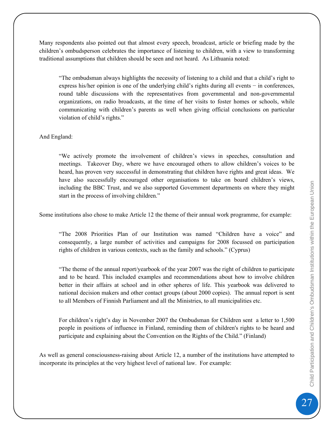Many respondents also pointed out that almost every speech, broadcast, article or briefing made by the children's ombudsperson celebrates the importance of listening to children, with a view to transforming traditional assumptions that children should be seen and not heard. As Lithuania noted:

"The ombudsman always highlights the necessity of listening to a child and that a child's right to express his/her opinion is one of the underlying child's rights during all events − in conferences, round table discussions with the representatives from governmental and non-governmental organizations, on radio broadcasts, at the time of her visits to foster homes or schools, while communicating with children's parents as well when giving official conclusions on particular violation of child's rights."

#### And England:

"We actively promote the involvement of children's views in speeches, consultation and meetings. Takeover Day, where we have encouraged others to allow children's voices to be heard, has proven very successful in demonstrating that children have rights and great ideas. We have also successfully encouraged other organisations to take on board children's views, including the BBC Trust, and we also supported Government departments on where they might start in the process of involving children."

Some institutions also chose to make Article 12 the theme of their annual work programme, for example:

"The 2008 Priorities Plan of our Institution was named "Children have a voice" and consequently, a large number of activities and campaigns for 2008 focussed on participation rights of children in various contexts, such as the family and schools." (Cyprus)

"The theme of the annual report/yearbook of the year 2007 was the right of children to participate and to be heard. This included examples and recommendations about how to involve children better in their affairs at school and in other spheres of life. This yearbook was delivered to national decision makers and other contact groups (about 2000 copies). The annual report is sent to all Members of Finnish Parliament and all the Ministries, to all municipalities etc.

For children's right's day in November 2007 the Ombudsman for Children sent a letter to 1,500 people in positions of influence in Finland, reminding them of children's rights to be heard and participate and explaining about the Convention on the Rights of the Child." (Finland)

As well as general consciousness-raising about Article 12, a number of the institutions have attempted to incorporate its principles at the very highest level of national law. For example: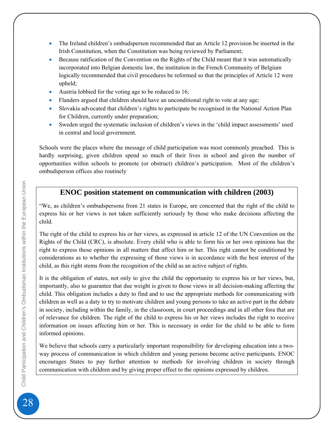- The Ireland children's ombudsperson recommended that an Article 12 provision be inserted in the Irish Constitution, when the Constitution was being reviewed by Parliament;
- Because ratification of the Convention on the Rights of the Child meant that it was automatically incorporated into Belgian domestic law, the institution in the French Community of Belgium logically recommended that civil procedures be reformed so that the principles of Article 12 were upheld;
- Austria lobbied for the voting age to be reduced to 16;
- Flanders argued that children should have an unconditional right to vote at any age;
- Slovakia advocated that children's rights to participate be recognised in the National Action Plan for Children, currently under preparation;
- Sweden urged the systematic inclusion of children's views in the 'child impact assessments' used in central and local government.

Schools were the places where the message of child participation was most commonly preached. This is hardly surprising, given children spend so much of their lives in school and given the number of opportunities within schools to promote (or obstruct) children's participation. Most of the children's ombudsperson offices also routinely

### **ENOC position statement on communication with children (2003)**

"We, as children's ombudspersons from 21 states in Europe, are concerned that the right of the child to express his or her views is not taken sufficiently seriously by those who make decisions affecting the child.

The right of the child to express his or her views, as expressed in article 12 of the UN Convention on the Rights of the Child (CRC), is absolute. Every child who is able to form his or her own opinions has the right to express those opinions in all matters that affect him or her. This right cannot be conditioned by considerations as to whether the expressing of those views is in accordance with the best interest of the child, as this right stems from the recognition of the child as an active subject of rights.

It is the obligation of states, not only to give the child the opportunity to express his or her views, but, importantly, also to guarantee that due weight is given to those views in all decision-making affecting the child. This obligation includes a duty to find and to use the appropriate methods for communicating with children as well as a duty to try to motivate children and young persons to take an active part in the debate in society, including within the family, in the classroom, in court proceedings and in all other fora that are of relevance for children. The right of the child to express his or her views includes the right to receive information on issues affecting him or her. This is necessary in order for the child to be able to form informed opinions.

We believe that schools carry a particularly important responsibility for developing education into a twoway process of communication in which children and young persons become active participants. ENOC encourages States to pay further attention to methods for involving children in society through communication with children and by giving proper effect to the opinions expressed by children.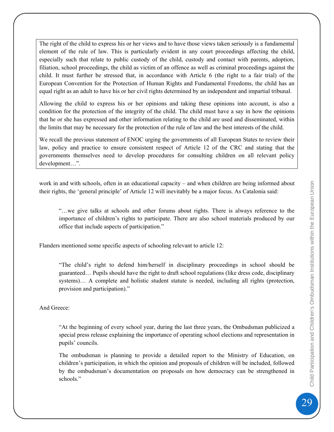The right of the child to express his or her views and to have those views taken seriously is a fundamental element of the rule of law. This is particularly evident in any court proceedings affecting the child, especially such that relate to public custody of the child, custody and contact with parents, adoption, filiation, school proceedings, the child as victim of an offence as well as criminal proceedings against the child. It must further be stressed that, in accordance with Article 6 (the right to a fair trial) of the European Convention for the Protection of Human Rights and Fundamental Freedoms, the child has an equal right as an adult to have his or her civil rights determined by an independent and impartial tribunal.

Allowing the child to express his or her opinions and taking these opinions into account, is also a condition for the protection of the integrity of the child. The child must have a say in how the opinions that he or she has expressed and other information relating to the child are used and disseminated, within the limits that may be necessary for the protection of the rule of law and the best interests of the child.

We recall the previous statement of ENOC urging the governments of all European States to review their law, policy and practice to ensure consistent respect of Article 12 of the CRC and stating that the governments themselves need to develop procedures for consulting children on all relevant policy development…".

work in and with schools, often in an educational capacity – and when children are being informed about their rights, the 'general principle' of Article 12 will inevitably be a major focus. As Catalonia said:

"…we give talks at schools and other forums about rights. There is always reference to the importance of children's rights to participate. There are also school materials produced by our office that include aspects of participation."

Flanders mentioned some specific aspects of schooling relevant to article 12:

"The child's right to defend him/herself in disciplinary proceedings in school should be guaranteed… Pupils should have the right to draft school regulations (like dress code, disciplinary systems)… A complete and holistic student statute is needed, including all rights (protection, provision and participation)."

And Greece:

"At the beginning of every school year, during the last three years, the Ombudsman publicized a special press release explaining the importance of operating school elections and representation in pupils' councils.

The ombudsman is planning to provide a detailed report to the Ministry of Education, on children's participation, in which the opinion and proposals of children will be included, followed by the ombudsman's documentation on proposals on how democracy can be strengthened in schools."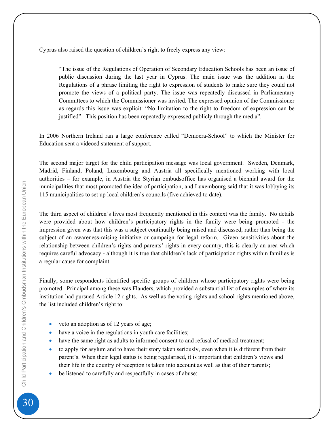Cyprus also raised the question of children's right to freely express any view:

"The issue of the Regulations of Operation of Secondary Education Schools has been an issue of public discussion during the last year in Cyprus. The main issue was the addition in the Regulations of a phrase limiting the right to expression of students to make sure they could not promote the views of a political party. The issue was repeatedly discussed in Parliamentary Committees to which the Commissioner was invited. The expressed opinion of the Commissioner as regards this issue was explicit: "No limitation to the right to freedom of expression can be justified". This position has been repeatedly expressed publicly through the media".

In 2006 Northern Ireland ran a large conference called "Democra-School" to which the Minister for Education sent a videoed statement of support.

The second major target for the child participation message was local government. Sweden, Denmark, Madrid, Finland, Poland, Luxembourg and Austria all specifically mentioned working with local authorities – for example, in Austria the Styrian ombudsoffice has organised a biennial award for the municipalities that most promoted the idea of participation, and Luxembourg said that it was lobbying its 115 municipalities to set up local children's councils (five achieved to date).

The third aspect of children's lives most frequently mentioned in this context was the family. No details were provided about how children's participatory rights in the family were being promoted - the impression given was that this was a subject continually being raised and discussed, rather than being the subject of an awareness-raising initiative or campaign for legal reform. Given sensitivities about the relationship between children's rights and parents' rights in every country, this is clearly an area which requires careful advocacy - although it is true that children's lack of participation rights within families is a regular cause for complaint.

Finally, some respondents identified specific groups of children whose participatory rights were being promoted. Principal among these was Flanders, which provided a substantial list of examples of where its institution had pursued Article 12 rights. As well as the voting rights and school rights mentioned above, the list included children's right to:

- veto an adoption as of 12 years of age;
- have a voice in the regulations in youth care facilities;
- have the same right as adults to informed consent to and refusal of medical treatment;
- to apply for asylum and to have their story taken seriously, even when it is different from their parent's. When their legal status is being regularised, it is important that children's views and their life in the country of reception is taken into account as well as that of their parents;
- be listened to carefully and respectfully in cases of abuse;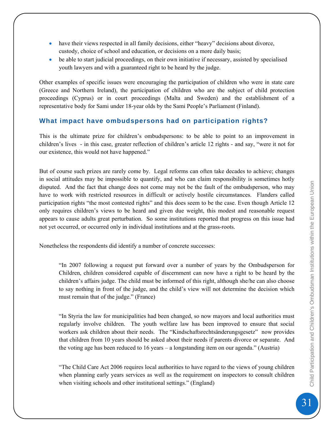- <span id="page-30-0"></span>• have their views respected in all family decisions, either "heavy" decisions about divorce, custody, choice of school and education, or decisions on a more daily basis;
- be able to start judicial proceedings, on their own initiative if necessary, assisted by specialised youth lawyers and with a guaranteed right to be heard by the judge.

Other examples of specific issues were encouraging the participation of children who were in state care (Greece and Northern Ireland), the participation of children who are the subject of child protection proceedings (Cyprus) or in court proceedings (Malta and Sweden) and the establishment of a representative body for Sami under 18-year olds by the Sami People's Parliament (Finland).

#### **What impact have ombudspersons had on participation rights?**

This is the ultimate prize for children's ombudspersons: to be able to point to an improvement in children's lives - in this case, greater reflection of children's article 12 rights - and say, "were it not for our existence, this would not have happened."

But of course such prizes are rarely come by. Legal reforms can often take decades to achieve; changes in social attitudes may be impossible to quantify, and who can claim responsibility is sometimes hotly disputed. And the fact that change does not come may not be the fault of the ombudsperson, who may have to work with restricted resources in difficult or actively hostile circumstances. Flanders called participation rights "the most contested rights" and this does seem to be the case. Even though Article 12 only requires children's views to be heard and given due weight, this modest and reasonable request appears to cause adults great perturbation. So some institutions reported that progress on this issue had not yet occurred, or occurred only in individual institutions and at the grass-roots.

Nonetheless the respondents did identify a number of concrete successes:

"In 2007 following a request put forward over a number of years by the Ombudsperson for Children, children considered capable of discernment can now have a right to be heard by the children's affairs judge. The child must be informed of this right, although she/he can also choose to say nothing in front of the judge, and the child's view will not determine the decision which must remain that of the judge." (France)

"In Styria the law for municipalities had been changed, so now mayors and local authorities must regularly involve children. The youth welfare law has been improved to ensure that social workers ask children about their needs. The "Kindschaftsrechtsänderungsgesetz" now provides that children from 10 years should be asked about their needs if parents divorce or separate. And the voting age has been reduced to 16 years – a longstanding item on our agenda." (Austria)

"The Child Care Act 2006 requires local authorities to have regard to the views of young children when planning early years services as well as the requirement on inspectors to consult children when visiting schools and other institutional settings." (England)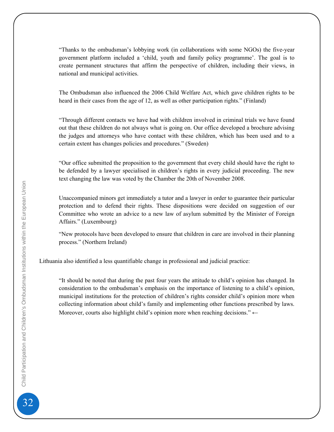"Thanks to the ombudsman's lobbying work (in collaborations with some NGOs) the five-year government platform included a 'child, youth and family policy programme'. The goal is to create permanent structures that affirm the perspective of children, including their views, in national and municipal activities.

The Ombudsman also influenced the 2006 Child Welfare Act, which gave children rights to be heard in their cases from the age of 12, as well as other participation rights." (Finland)

"Through different contacts we have had with children involved in criminal trials we have found out that these children do not always what is going on. Our office developed a brochure advising the judges and attorneys who have contact with these children, which has been used and to a certain extent has changes policies and procedures." (Sweden)

"Our office submitted the proposition to the government that every child should have the right to be defended by a lawyer specialised in children's rights in every judicial proceeding. The new text changing the law was voted by the Chamber the 20th of November 2008.

Unaccompanied minors get immediately a tutor and a lawyer in order to guarantee their particular protection and to defend their rights. These dispositions were decided on suggestion of our Committee who wrote an advice to a new law of asylum submitted by the Minister of Foreign Affairs." (Luxembourg)

"New protocols have been developed to ensure that children in care are involved in their planning process." (Northern Ireland)

Lithuania also identified a less quantifiable change in professional and judicial practice:

"It should be noted that during the past four years the attitude to child's opinion has changed. In consideration to the ombudsman's emphasis on the importance of listening to a child's opinion, municipal institutions for the protection of children's rights consider child's opinion more when collecting information about child's family and implementing other functions prescribed by laws. Moreover, courts also highlight child's opinion more when reaching decisions." ←